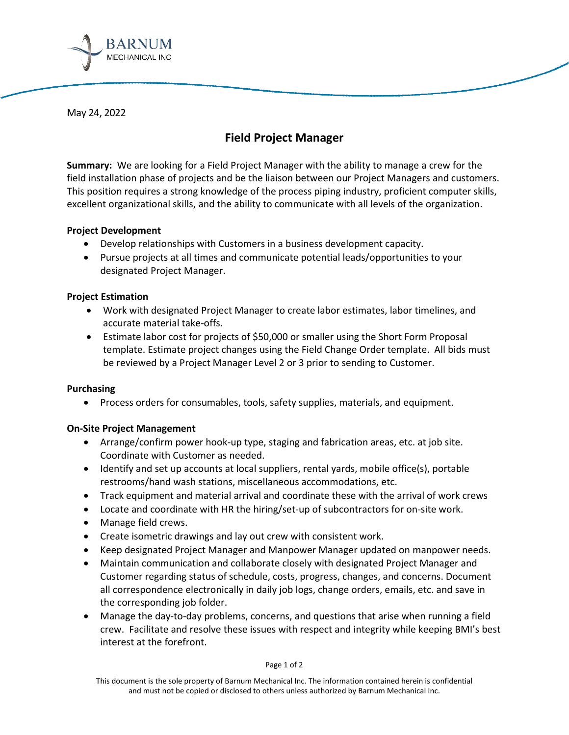

May 24, 2022

# **Field Project Manager**

**Summary:** We are looking for a Field Project Manager with the ability to manage a crew for the field installation phase of projects and be the liaison between our Project Managers and customers. This position requires a strong knowledge of the process piping industry, proficient computer skills, excellent organizational skills, and the ability to communicate with all levels of the organization.

# **Project Development**

- Develop relationships with Customers in a business development capacity.
- Pursue projects at all times and communicate potential leads/opportunities to your designated Project Manager.

# **Project Estimation**

- Work with designated Project Manager to create labor estimates, labor timelines, and accurate material take-offs.
- Estimate labor cost for projects of \$50,000 or smaller using the Short Form Proposal template. Estimate project changes using the Field Change Order template. All bids must be reviewed by a Project Manager Level 2 or 3 prior to sending to Customer.

# **Purchasing**

• Process orders for consumables, tools, safety supplies, materials, and equipment.

# **On-Site Project Management**

- Arrange/confirm power hook-up type, staging and fabrication areas, etc. at job site. Coordinate with Customer as needed.
- Identify and set up accounts at local suppliers, rental yards, mobile office(s), portable restrooms/hand wash stations, miscellaneous accommodations, etc.
- Track equipment and material arrival and coordinate these with the arrival of work crews
- Locate and coordinate with HR the hiring/set-up of subcontractors for on-site work.
- Manage field crews.
- Create isometric drawings and lay out crew with consistent work.
- Keep designated Project Manager and Manpower Manager updated on manpower needs.
- Maintain communication and collaborate closely with designated Project Manager and Customer regarding status of schedule, costs, progress, changes, and concerns. Document all correspondence electronically in daily job logs, change orders, emails, etc. and save in the corresponding job folder.
- Manage the day-to-day problems, concerns, and questions that arise when running a field crew. Facilitate and resolve these issues with respect and integrity while keeping BMI's best interest at the forefront.

#### Page 1 of 2

This document is the sole property of Barnum Mechanical Inc. The information contained herein is confidential and must not be copied or disclosed to others unless authorized by Barnum Mechanical Inc.